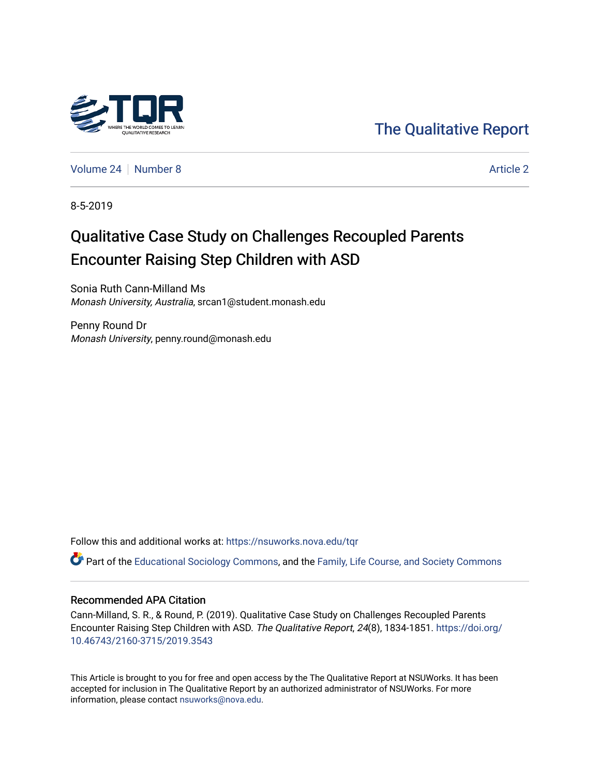

[The Qualitative Report](https://nsuworks.nova.edu/tqr) 

[Volume 24](https://nsuworks.nova.edu/tqr/vol24) | [Number 8](https://nsuworks.nova.edu/tqr/vol24/iss8) [Article 2](https://nsuworks.nova.edu/tqr/vol24/iss8/2) Article 2

8-5-2019

## Qualitative Case Study on Challenges Recoupled Parents Encounter Raising Step Children with ASD

Sonia Ruth Cann-Milland Ms Monash University, Australia, srcan1@student.monash.edu

Penny Round Dr Monash University, penny.round@monash.edu

Follow this and additional works at: [https://nsuworks.nova.edu/tqr](https://nsuworks.nova.edu/tqr?utm_source=nsuworks.nova.edu%2Ftqr%2Fvol24%2Fiss8%2F2&utm_medium=PDF&utm_campaign=PDFCoverPages) 

Part of the [Educational Sociology Commons,](http://network.bepress.com/hgg/discipline/1071?utm_source=nsuworks.nova.edu%2Ftqr%2Fvol24%2Fiss8%2F2&utm_medium=PDF&utm_campaign=PDFCoverPages) and the [Family, Life Course, and Society Commons](http://network.bepress.com/hgg/discipline/419?utm_source=nsuworks.nova.edu%2Ftqr%2Fvol24%2Fiss8%2F2&utm_medium=PDF&utm_campaign=PDFCoverPages)

#### Recommended APA Citation

Cann-Milland, S. R., & Round, P. (2019). Qualitative Case Study on Challenges Recoupled Parents Encounter Raising Step Children with ASD. The Qualitative Report, 24(8), 1834-1851. [https://doi.org/](https://doi.org/10.46743/2160-3715/2019.3543) [10.46743/2160-3715/2019.3543](https://doi.org/10.46743/2160-3715/2019.3543)

This Article is brought to you for free and open access by the The Qualitative Report at NSUWorks. It has been accepted for inclusion in The Qualitative Report by an authorized administrator of NSUWorks. For more information, please contact [nsuworks@nova.edu.](mailto:nsuworks@nova.edu)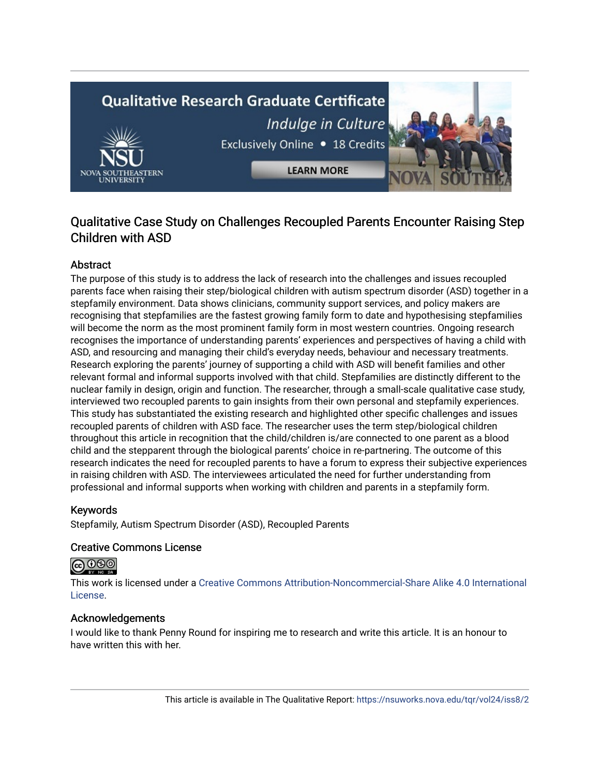# **Qualitative Research Graduate Certificate** Indulge in Culture Exclusively Online . 18 Credits

**LEARN MORE** 

## Qualitative Case Study on Challenges Recoupled Parents Encounter Raising Step Children with ASD

### Abstract

The purpose of this study is to address the lack of research into the challenges and issues recoupled parents face when raising their step/biological children with autism spectrum disorder (ASD) together in a stepfamily environment. Data shows clinicians, community support services, and policy makers are recognising that stepfamilies are the fastest growing family form to date and hypothesising stepfamilies will become the norm as the most prominent family form in most western countries. Ongoing research recognises the importance of understanding parents' experiences and perspectives of having a child with ASD, and resourcing and managing their child's everyday needs, behaviour and necessary treatments. Research exploring the parents' journey of supporting a child with ASD will benefit families and other relevant formal and informal supports involved with that child. Stepfamilies are distinctly different to the nuclear family in design, origin and function. The researcher, through a small-scale qualitative case study, interviewed two recoupled parents to gain insights from their own personal and stepfamily experiences. This study has substantiated the existing research and highlighted other specific challenges and issues recoupled parents of children with ASD face. The researcher uses the term step/biological children throughout this article in recognition that the child/children is/are connected to one parent as a blood child and the stepparent through the biological parents' choice in re-partnering. The outcome of this research indicates the need for recoupled parents to have a forum to express their subjective experiences in raising children with ASD. The interviewees articulated the need for further understanding from professional and informal supports when working with children and parents in a stepfamily form.

#### Keywords

Stepfamily, Autism Spectrum Disorder (ASD), Recoupled Parents

#### Creative Commons License

## <u>@ 000</u>

This work is licensed under a [Creative Commons Attribution-Noncommercial-Share Alike 4.0 International](https://creativecommons.org/licenses/by-nc-sa/4.0/)  [License](https://creativecommons.org/licenses/by-nc-sa/4.0/).

#### Acknowledgements

I would like to thank Penny Round for inspiring me to research and write this article. It is an honour to have written this with her.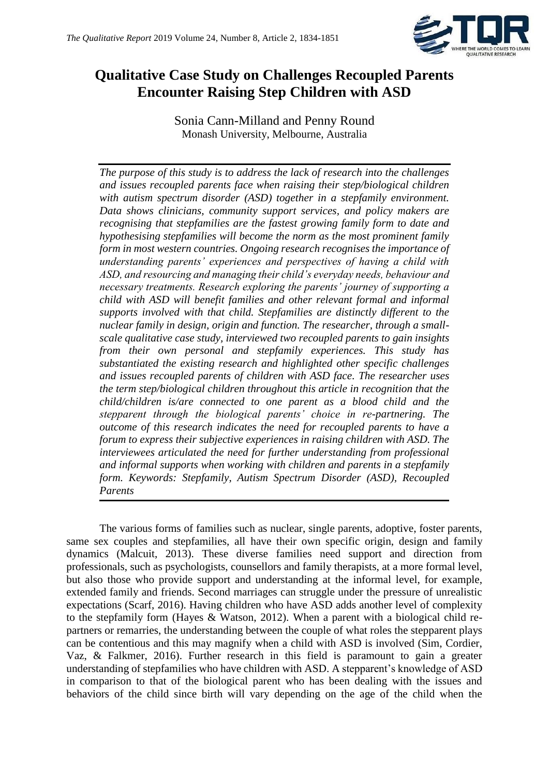

## **Qualitative Case Study on Challenges Recoupled Parents Encounter Raising Step Children with ASD**

Sonia Cann-Milland and Penny Round Monash University, Melbourne, Australia

*The purpose of this study is to address the lack of research into the challenges and issues recoupled parents face when raising their step/biological children with autism spectrum disorder (ASD) together in a stepfamily environment. Data shows clinicians, community support services, and policy makers are recognising that stepfamilies are the fastest growing family form to date and hypothesising stepfamilies will become the norm as the most prominent family form in most western countries. Ongoing research recognises the importance of understanding parents' experiences and perspectives of having a child with ASD, and resourcing and managing their child's everyday needs, behaviour and necessary treatments. Research exploring the parents' journey of supporting a child with ASD will benefit families and other relevant formal and informal supports involved with that child. Stepfamilies are distinctly different to the nuclear family in design, origin and function. The researcher, through a smallscale qualitative case study, interviewed two recoupled parents to gain insights from their own personal and stepfamily experiences. This study has substantiated the existing research and highlighted other specific challenges and issues recoupled parents of children with ASD face. The researcher uses the term step/biological children throughout this article in recognition that the child/children is/are connected to one parent as a blood child and the stepparent through the biological parents' choice in re-partnering. The outcome of this research indicates the need for recoupled parents to have a forum to express their subjective experiences in raising children with ASD. The interviewees articulated the need for further understanding from professional and informal supports when working with children and parents in a stepfamily form. Keywords: Stepfamily, Autism Spectrum Disorder (ASD), Recoupled Parents*

The various forms of families such as nuclear, single parents, adoptive, foster parents, same sex couples and stepfamilies, all have their own specific origin, design and family dynamics (Malcuit, 2013). These diverse families need support and direction from professionals, such as psychologists, counsellors and family therapists, at a more formal level, but also those who provide support and understanding at the informal level, for example, extended family and friends. Second marriages can struggle under the pressure of unrealistic expectations (Scarf, 2016). Having children who have ASD adds another level of complexity to the stepfamily form (Hayes & Watson, 2012). When a parent with a biological child repartners or remarries, the understanding between the couple of what roles the stepparent plays can be contentious and this may magnify when a child with ASD is involved (Sim, Cordier, Vaz, & Falkmer, 2016). Further research in this field is paramount to gain a greater understanding of stepfamilies who have children with ASD. A stepparent's knowledge of ASD in comparison to that of the biological parent who has been dealing with the issues and behaviors of the child since birth will vary depending on the age of the child when the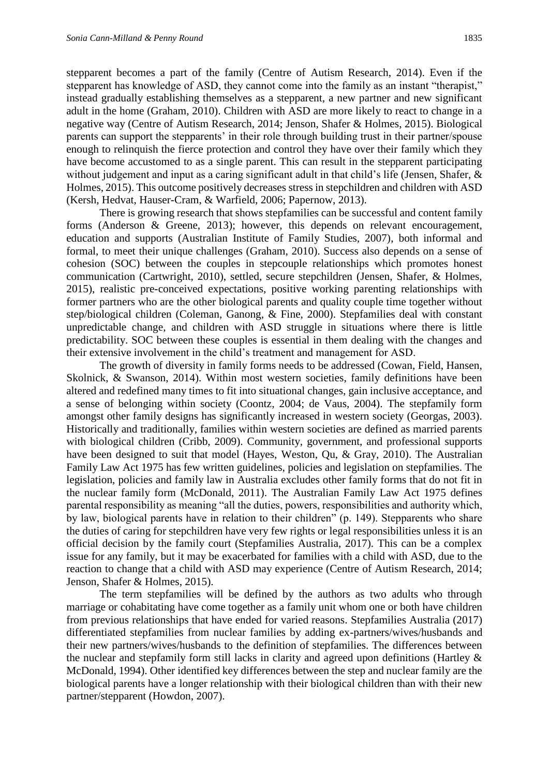stepparent becomes a part of the family (Centre of Autism Research, 2014). Even if the stepparent has knowledge of ASD, they cannot come into the family as an instant "therapist," instead gradually establishing themselves as a stepparent, a new partner and new significant adult in the home (Graham, 2010). Children with ASD are more likely to react to change in a negative way (Centre of Autism Research, 2014; Jenson, Shafer & Holmes, 2015). Biological parents can support the stepparents' in their role through building trust in their partner/spouse enough to relinquish the fierce protection and control they have over their family which they have become accustomed to as a single parent. This can result in the stepparent participating without judgement and input as a caring significant adult in that child's life (Jensen, Shafer, & Holmes, 2015). This outcome positively decreases stress in stepchildren and children with ASD (Kersh, Hedvat, Hauser-Cram, & Warfield, 2006; Papernow, 2013).

There is growing research that shows stepfamilies can be successful and content family forms (Anderson & Greene, 2013); however, this depends on relevant encouragement, education and supports (Australian Institute of Family Studies, 2007), both informal and formal, to meet their unique challenges (Graham, 2010). Success also depends on a sense of cohesion (SOC) between the couples in stepcouple relationships which promotes honest communication (Cartwright, 2010), settled, secure stepchildren (Jensen, Shafer, & Holmes, 2015), realistic pre-conceived expectations, positive working parenting relationships with former partners who are the other biological parents and quality couple time together without step/biological children (Coleman, Ganong, & Fine, 2000). Stepfamilies deal with constant unpredictable change, and children with ASD struggle in situations where there is little predictability. SOC between these couples is essential in them dealing with the changes and their extensive involvement in the child's treatment and management for ASD.

The growth of diversity in family forms needs to be addressed (Cowan, Field, Hansen, Skolnick, & Swanson, 2014). Within most western societies, family definitions have been altered and redefined many times to fit into situational changes, gain inclusive acceptance, and a sense of belonging within society (Coontz, 2004; de Vaus, 2004). The stepfamily form amongst other family designs has significantly increased in western society (Georgas, 2003). Historically and traditionally, families within western societies are defined as married parents with biological children (Cribb, 2009). Community, government, and professional supports have been designed to suit that model (Hayes, Weston, Qu, & Gray, 2010). The Australian Family Law Act 1975 has few written guidelines, policies and legislation on stepfamilies. The legislation, policies and family law in Australia excludes other family forms that do not fit in the nuclear family form (McDonald, 2011). The Australian Family Law Act 1975 defines parental responsibility as meaning "all the duties, powers, responsibilities and authority which, by law, biological parents have in relation to their children" (p. 149). Stepparents who share the duties of caring for stepchildren have very few rights or legal responsibilities unless it is an official decision by the family court (Stepfamilies Australia, 2017). This can be a complex issue for any family, but it may be exacerbated for families with a child with ASD, due to the reaction to change that a child with ASD may experience (Centre of Autism Research, 2014; Jenson, Shafer & Holmes, 2015).

The term stepfamilies will be defined by the authors as two adults who through marriage or cohabitating have come together as a family unit whom one or both have children from previous relationships that have ended for varied reasons. Stepfamilies Australia (2017) differentiated stepfamilies from nuclear families by adding ex-partners/wives/husbands and their new partners/wives/husbands to the definition of stepfamilies. The differences between the nuclear and stepfamily form still lacks in clarity and agreed upon definitions (Hartley & McDonald, 1994). Other identified key differences between the step and nuclear family are the biological parents have a longer relationship with their biological children than with their new partner/stepparent (Howdon, 2007).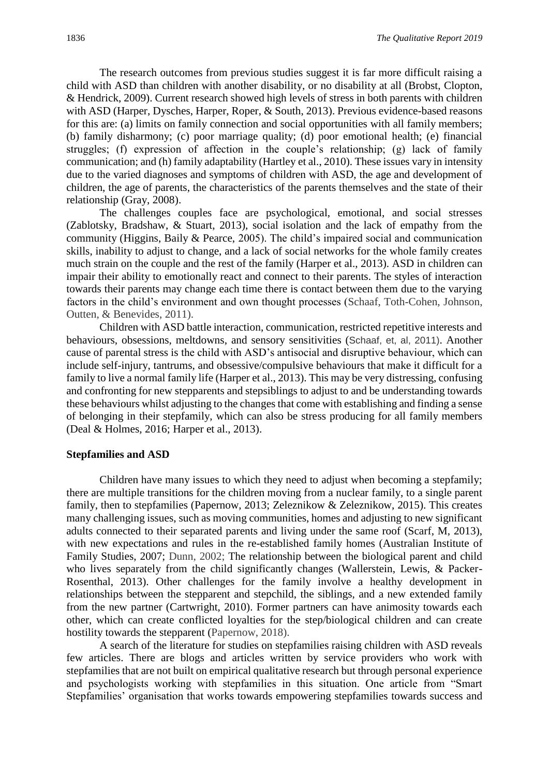The research outcomes from previous studies suggest it is far more difficult raising a child with ASD than children with another disability, or no disability at all (Brobst, Clopton, & Hendrick, 2009). Current research showed high levels of stress in both parents with children with ASD (Harper, Dysches, Harper, Roper, & South, 2013). Previous evidence-based reasons for this are: (a) limits on family connection and social opportunities with all family members; (b) family disharmony; (c) poor marriage quality; (d) poor emotional health; (e) financial struggles; (f) expression of affection in the couple's relationship; (g) lack of family communication; and (h) family adaptability (Hartley et al., 2010). These issues vary in intensity due to the varied diagnoses and symptoms of children with ASD, the age and development of children, the age of parents, the characteristics of the parents themselves and the state of their relationship (Gray, 2008).

The challenges couples face are psychological, emotional, and social stresses (Zablotsky, Bradshaw, & Stuart, 2013), social isolation and the lack of empathy from the community (Higgins, Baily & Pearce, 2005). The child's impaired social and communication skills, inability to adjust to change, and a lack of social networks for the whole family creates much strain on the couple and the rest of the family (Harper et al., 2013). ASD in children can impair their ability to emotionally react and connect to their parents. The styles of interaction towards their parents may change each time there is contact between them due to the varying factors in the child's environment and own thought processes (Schaaf, Toth-Cohen, Johnson, Outten, & Benevides, 2011).

Children with ASD battle interaction, communication, restricted repetitive interests and behaviours, obsessions, meltdowns, and sensory sensitivities (Schaaf, et, al, 2011). Another cause of parental stress is the child with ASD's antisocial and disruptive behaviour, which can include self-injury, tantrums, and obsessive/compulsive behaviours that make it difficult for a family to live a normal family life (Harper et al., 2013). This may be very distressing, confusing and confronting for new stepparents and stepsiblings to adjust to and be understanding towards these behaviours whilst adjusting to the changes that come with establishing and finding a sense of belonging in their stepfamily, which can also be stress producing for all family members (Deal & Holmes, 2016; Harper et al., 2013).

#### **Stepfamilies and ASD**

Children have many issues to which they need to adjust when becoming a stepfamily; there are multiple transitions for the children moving from a nuclear family, to a single parent family, then to stepfamilies (Papernow, 2013; Zeleznikow & Zeleznikow, 2015). This creates many challenging issues, such as moving communities, homes and adjusting to new significant adults connected to their separated parents and living under the same roof (Scarf, M, 2013), with new expectations and rules in the re-established family homes (Australian Institute of Family Studies, 2007; Dunn, 2002; The relationship between the biological parent and child who lives separately from the child significantly changes (Wallerstein, Lewis, & Packer-Rosenthal, 2013). Other challenges for the family involve a healthy development in relationships between the stepparent and stepchild, the siblings, and a new extended family from the new partner (Cartwright, 2010). Former partners can have animosity towards each other, which can create conflicted loyalties for the step/biological children and can create hostility towards the stepparent (Papernow, 2018).

A search of the literature for studies on stepfamilies raising children with ASD reveals few articles. There are blogs and articles written by service providers who work with stepfamilies that are not built on empirical qualitative research but through personal experience and psychologists working with stepfamilies in this situation. One article from "Smart Stepfamilies' organisation that works towards empowering stepfamilies towards success and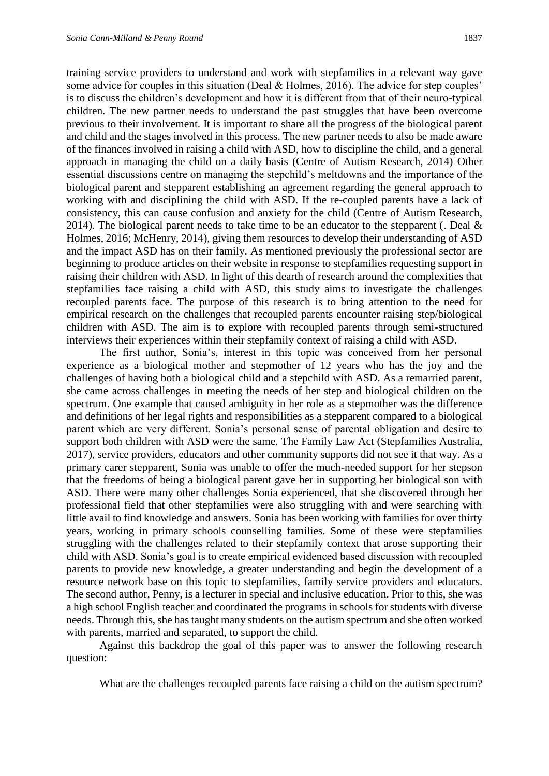training service providers to understand and work with stepfamilies in a relevant way gave some advice for couples in this situation (Deal & Holmes, 2016). The advice for step couples' is to discuss the children's development and how it is different from that of their neuro-typical children. The new partner needs to understand the past struggles that have been overcome previous to their involvement. It is important to share all the progress of the biological parent and child and the stages involved in this process. The new partner needs to also be made aware of the finances involved in raising a child with ASD, how to discipline the child, and a general approach in managing the child on a daily basis (Centre of Autism Research, 2014) Other essential discussions centre on managing the stepchild's meltdowns and the importance of the biological parent and stepparent establishing an agreement regarding the general approach to working with and disciplining the child with ASD. If the re-coupled parents have a lack of consistency, this can cause confusion and anxiety for the child (Centre of Autism Research, 2014). The biological parent needs to take time to be an educator to the stepparent (. Deal  $\&$ Holmes, 2016; McHenry, 2014), giving them resources to develop their understanding of ASD and the impact ASD has on their family. As mentioned previously the professional sector are beginning to produce articles on their website in response to stepfamilies requesting support in raising their children with ASD. In light of this dearth of research around the complexities that stepfamilies face raising a child with ASD, this study aims to investigate the challenges recoupled parents face. The purpose of this research is to bring attention to the need for empirical research on the challenges that recoupled parents encounter raising step/biological children with ASD. The aim is to explore with recoupled parents through semi-structured interviews their experiences within their stepfamily context of raising a child with ASD.

The first author, Sonia's, interest in this topic was conceived from her personal experience as a biological mother and stepmother of 12 years who has the joy and the challenges of having both a biological child and a stepchild with ASD. As a remarried parent, she came across challenges in meeting the needs of her step and biological children on the spectrum. One example that caused ambiguity in her role as a stepmother was the difference and definitions of her legal rights and responsibilities as a stepparent compared to a biological parent which are very different. Sonia's personal sense of parental obligation and desire to support both children with ASD were the same. The Family Law Act (Stepfamilies Australia, 2017), service providers, educators and other community supports did not see it that way. As a primary carer stepparent, Sonia was unable to offer the much-needed support for her stepson that the freedoms of being a biological parent gave her in supporting her biological son with ASD. There were many other challenges Sonia experienced, that she discovered through her professional field that other stepfamilies were also struggling with and were searching with little avail to find knowledge and answers. Sonia has been working with families for over thirty years, working in primary schools counselling families. Some of these were stepfamilies struggling with the challenges related to their stepfamily context that arose supporting their child with ASD. Sonia's goal is to create empirical evidenced based discussion with recoupled parents to provide new knowledge, a greater understanding and begin the development of a resource network base on this topic to stepfamilies, family service providers and educators. The second author, Penny, is a lecturer in special and inclusive education. Prior to this, she was a high school English teacher and coordinated the programs in schools for students with diverse needs. Through this, she has taught many students on the autism spectrum and she often worked with parents, married and separated, to support the child.

Against this backdrop the goal of this paper was to answer the following research question:

What are the challenges recoupled parents face raising a child on the autism spectrum?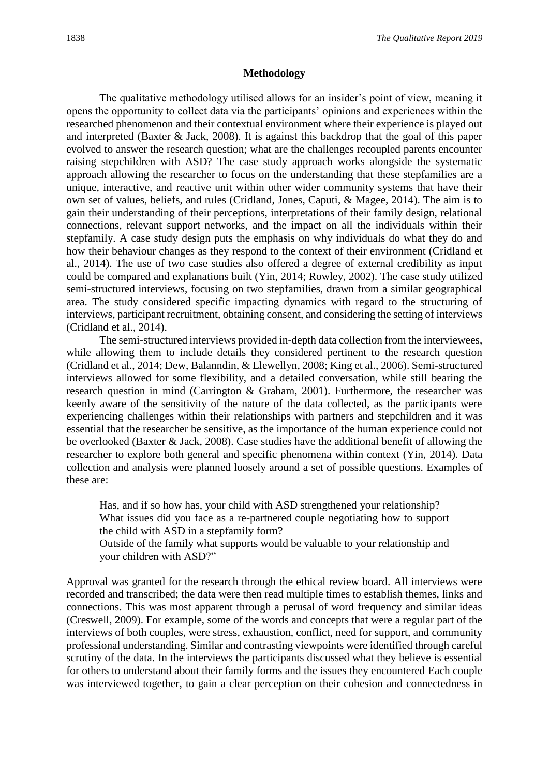#### **Methodology**

The qualitative methodology utilised allows for an insider's point of view, meaning it opens the opportunity to collect data via the participants' opinions and experiences within the researched phenomenon and their contextual environment where their experience is played out and interpreted (Baxter & Jack, 2008). It is against this backdrop that the goal of this paper evolved to answer the research question; what are the challenges recoupled parents encounter raising stepchildren with ASD? The case study approach works alongside the systematic approach allowing the researcher to focus on the understanding that these stepfamilies are a unique, interactive, and reactive unit within other wider community systems that have their own set of values, beliefs, and rules (Cridland, Jones, Caputi, & Magee, 2014). The aim is to gain their understanding of their perceptions, interpretations of their family design, relational connections, relevant support networks, and the impact on all the individuals within their stepfamily. A case study design puts the emphasis on why individuals do what they do and how their behaviour changes as they respond to the context of their environment (Cridland et al., 2014). The use of two case studies also offered a degree of external credibility as input could be compared and explanations built (Yin, 2014; Rowley, 2002). The case study utilized semi-structured interviews, focusing on two stepfamilies, drawn from a similar geographical area. The study considered specific impacting dynamics with regard to the structuring of interviews, participant recruitment, obtaining consent, and considering the setting of interviews (Cridland et al., 2014).

The semi-structured interviews provided in-depth data collection from the interviewees, while allowing them to include details they considered pertinent to the research question (Cridland et al., 2014; Dew, Balanndin, & Llewellyn, 2008; King et al., 2006). Semi-structured interviews allowed for some flexibility, and a detailed conversation, while still bearing the research question in mind (Carrington & Graham, 2001). Furthermore, the researcher was keenly aware of the sensitivity of the nature of the data collected, as the participants were experiencing challenges within their relationships with partners and stepchildren and it was essential that the researcher be sensitive, as the importance of the human experience could not be overlooked (Baxter & Jack, 2008). Case studies have the additional benefit of allowing the researcher to explore both general and specific phenomena within context (Yin, 2014). Data collection and analysis were planned loosely around a set of possible questions. Examples of these are:

Has, and if so how has, your child with ASD strengthened your relationship? What issues did you face as a re-partnered couple negotiating how to support the child with ASD in a stepfamily form?

Outside of the family what supports would be valuable to your relationship and your children with ASD?"

Approval was granted for the research through the ethical review board. All interviews were recorded and transcribed; the data were then read multiple times to establish themes, links and connections. This was most apparent through a perusal of word frequency and similar ideas (Creswell, 2009). For example, some of the words and concepts that were a regular part of the interviews of both couples, were stress, exhaustion, conflict, need for support, and community professional understanding. Similar and contrasting viewpoints were identified through careful scrutiny of the data. In the interviews the participants discussed what they believe is essential for others to understand about their family forms and the issues they encountered Each couple was interviewed together, to gain a clear perception on their cohesion and connectedness in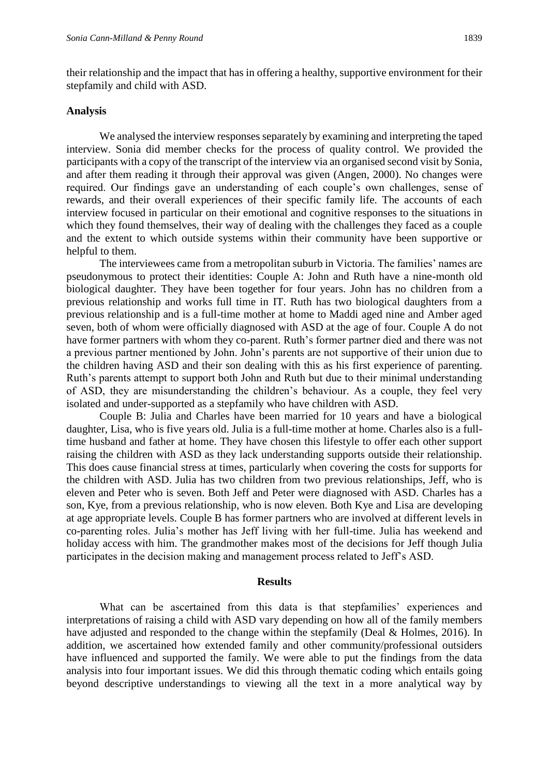their relationship and the impact that has in offering a healthy, supportive environment for their stepfamily and child with ASD.

#### **Analysis**

We analysed the interview responses separately by examining and interpreting the taped interview. Sonia did member checks for the process of quality control. We provided the participants with a copy of the transcript of the interview via an organised second visit by Sonia, and after them reading it through their approval was given (Angen, 2000). No changes were required. Our findings gave an understanding of each couple's own challenges, sense of rewards, and their overall experiences of their specific family life. The accounts of each interview focused in particular on their emotional and cognitive responses to the situations in which they found themselves, their way of dealing with the challenges they faced as a couple and the extent to which outside systems within their community have been supportive or helpful to them.

The interviewees came from a metropolitan suburb in Victoria. The families' names are pseudonymous to protect their identities: Couple A: John and Ruth have a nine-month old biological daughter. They have been together for four years. John has no children from a previous relationship and works full time in IT. Ruth has two biological daughters from a previous relationship and is a full-time mother at home to Maddi aged nine and Amber aged seven, both of whom were officially diagnosed with ASD at the age of four. Couple A do not have former partners with whom they co-parent. Ruth's former partner died and there was not a previous partner mentioned by John. John's parents are not supportive of their union due to the children having ASD and their son dealing with this as his first experience of parenting. Ruth's parents attempt to support both John and Ruth but due to their minimal understanding of ASD, they are misunderstanding the children's behaviour. As a couple, they feel very isolated and under-supported as a stepfamily who have children with ASD.

Couple B: Julia and Charles have been married for 10 years and have a biological daughter, Lisa, who is five years old. Julia is a full-time mother at home. Charles also is a fulltime husband and father at home. They have chosen this lifestyle to offer each other support raising the children with ASD as they lack understanding supports outside their relationship. This does cause financial stress at times, particularly when covering the costs for supports for the children with ASD. Julia has two children from two previous relationships, Jeff, who is eleven and Peter who is seven. Both Jeff and Peter were diagnosed with ASD. Charles has a son, Kye, from a previous relationship, who is now eleven. Both Kye and Lisa are developing at age appropriate levels. Couple B has former partners who are involved at different levels in co-parenting roles. Julia's mother has Jeff living with her full-time. Julia has weekend and holiday access with him. The grandmother makes most of the decisions for Jeff though Julia participates in the decision making and management process related to Jeff's ASD.

#### **Results**

What can be ascertained from this data is that stepfamilies' experiences and interpretations of raising a child with ASD vary depending on how all of the family members have adjusted and responded to the change within the stepfamily (Deal & Holmes, 2016). In addition, we ascertained how extended family and other community/professional outsiders have influenced and supported the family. We were able to put the findings from the data analysis into four important issues. We did this through thematic coding which entails going beyond descriptive understandings to viewing all the text in a more analytical way by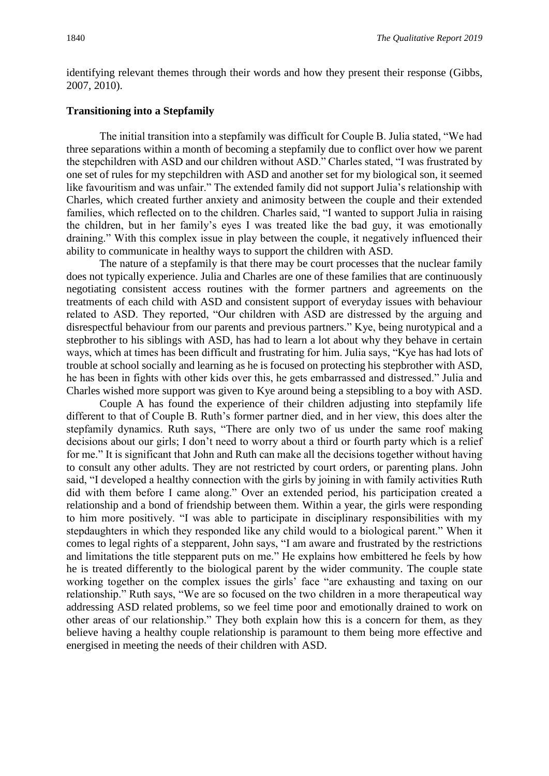identifying relevant themes through their words and how they present their response (Gibbs, 2007, 2010).

#### **Transitioning into a Stepfamily**

The initial transition into a stepfamily was difficult for Couple B. Julia stated, "We had three separations within a month of becoming a stepfamily due to conflict over how we parent the stepchildren with ASD and our children without ASD." Charles stated, "I was frustrated by one set of rules for my stepchildren with ASD and another set for my biological son, it seemed like favouritism and was unfair." The extended family did not support Julia's relationship with Charles, which created further anxiety and animosity between the couple and their extended families, which reflected on to the children. Charles said, "I wanted to support Julia in raising the children, but in her family's eyes I was treated like the bad guy, it was emotionally draining." With this complex issue in play between the couple, it negatively influenced their ability to communicate in healthy ways to support the children with ASD.

The nature of a stepfamily is that there may be court processes that the nuclear family does not typically experience. Julia and Charles are one of these families that are continuously negotiating consistent access routines with the former partners and agreements on the treatments of each child with ASD and consistent support of everyday issues with behaviour related to ASD. They reported, "Our children with ASD are distressed by the arguing and disrespectful behaviour from our parents and previous partners." Kye, being nurotypical and a stepbrother to his siblings with ASD, has had to learn a lot about why they behave in certain ways, which at times has been difficult and frustrating for him. Julia says, "Kye has had lots of trouble at school socially and learning as he is focused on protecting his stepbrother with ASD, he has been in fights with other kids over this, he gets embarrassed and distressed." Julia and Charles wished more support was given to Kye around being a stepsibling to a boy with ASD.

Couple A has found the experience of their children adjusting into stepfamily life different to that of Couple B. Ruth's former partner died, and in her view, this does alter the stepfamily dynamics. Ruth says, "There are only two of us under the same roof making decisions about our girls; I don't need to worry about a third or fourth party which is a relief for me." It is significant that John and Ruth can make all the decisions together without having to consult any other adults. They are not restricted by court orders, or parenting plans. John said, "I developed a healthy connection with the girls by joining in with family activities Ruth did with them before I came along." Over an extended period, his participation created a relationship and a bond of friendship between them. Within a year, the girls were responding to him more positively. "I was able to participate in disciplinary responsibilities with my stepdaughters in which they responded like any child would to a biological parent." When it comes to legal rights of a stepparent, John says, "I am aware and frustrated by the restrictions and limitations the title stepparent puts on me." He explains how embittered he feels by how he is treated differently to the biological parent by the wider community. The couple state working together on the complex issues the girls' face "are exhausting and taxing on our relationship." Ruth says, "We are so focused on the two children in a more therapeutical way addressing ASD related problems, so we feel time poor and emotionally drained to work on other areas of our relationship." They both explain how this is a concern for them, as they believe having a healthy couple relationship is paramount to them being more effective and energised in meeting the needs of their children with ASD.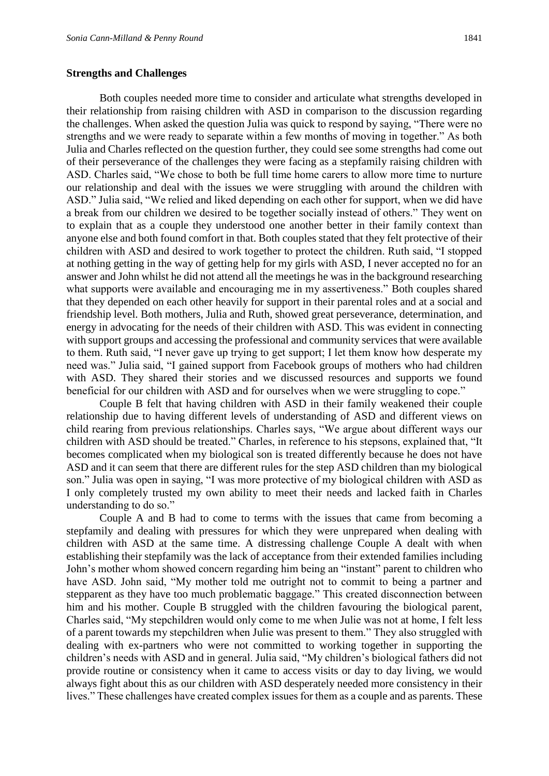#### **Strengths and Challenges**

Both couples needed more time to consider and articulate what strengths developed in their relationship from raising children with ASD in comparison to the discussion regarding the challenges. When asked the question Julia was quick to respond by saying, "There were no strengths and we were ready to separate within a few months of moving in together." As both Julia and Charles reflected on the question further, they could see some strengths had come out of their perseverance of the challenges they were facing as a stepfamily raising children with ASD. Charles said, "We chose to both be full time home carers to allow more time to nurture our relationship and deal with the issues we were struggling with around the children with ASD." Julia said, "We relied and liked depending on each other for support, when we did have a break from our children we desired to be together socially instead of others." They went on to explain that as a couple they understood one another better in their family context than anyone else and both found comfort in that. Both couples stated that they felt protective of their children with ASD and desired to work together to protect the children. Ruth said, "I stopped at nothing getting in the way of getting help for my girls with ASD, I never accepted no for an answer and John whilst he did not attend all the meetings he was in the background researching what supports were available and encouraging me in my assertiveness." Both couples shared that they depended on each other heavily for support in their parental roles and at a social and friendship level. Both mothers, Julia and Ruth, showed great perseverance, determination, and energy in advocating for the needs of their children with ASD. This was evident in connecting with support groups and accessing the professional and community services that were available to them. Ruth said, "I never gave up trying to get support; I let them know how desperate my need was." Julia said, "I gained support from Facebook groups of mothers who had children with ASD. They shared their stories and we discussed resources and supports we found beneficial for our children with ASD and for ourselves when we were struggling to cope."

Couple B felt that having children with ASD in their family weakened their couple relationship due to having different levels of understanding of ASD and different views on child rearing from previous relationships. Charles says, "We argue about different ways our children with ASD should be treated." Charles, in reference to his stepsons, explained that, "It becomes complicated when my biological son is treated differently because he does not have ASD and it can seem that there are different rules for the step ASD children than my biological son." Julia was open in saying, "I was more protective of my biological children with ASD as I only completely trusted my own ability to meet their needs and lacked faith in Charles understanding to do so."

Couple A and B had to come to terms with the issues that came from becoming a stepfamily and dealing with pressures for which they were unprepared when dealing with children with ASD at the same time. A distressing challenge Couple A dealt with when establishing their stepfamily was the lack of acceptance from their extended families including John's mother whom showed concern regarding him being an "instant" parent to children who have ASD. John said, "My mother told me outright not to commit to being a partner and stepparent as they have too much problematic baggage." This created disconnection between him and his mother. Couple B struggled with the children favouring the biological parent, Charles said, "My stepchildren would only come to me when Julie was not at home, I felt less of a parent towards my stepchildren when Julie was present to them." They also struggled with dealing with ex-partners who were not committed to working together in supporting the children's needs with ASD and in general. Julia said, "My children's biological fathers did not provide routine or consistency when it came to access visits or day to day living, we would always fight about this as our children with ASD desperately needed more consistency in their lives." These challenges have created complex issues for them as a couple and as parents. These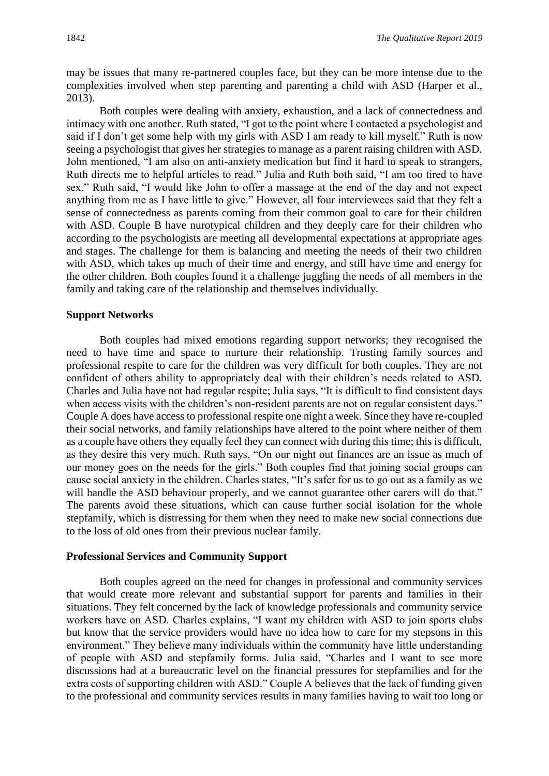may be issues that many re-partnered couples face, but they can be more intense due to the complexities involved when step parenting and parenting a child with ASD (Harper et al., 2013).

Both couples were dealing with anxiety, exhaustion, and a lack of connectedness and intimacy with one another. Ruth stated, "I got to the point where I contacted a psychologist and said if I don't get some help with my girls with ASD I am ready to kill myself." Ruth is now seeing a psychologist that gives her strategies to manage as a parent raising children with ASD. John mentioned, "I am also on anti-anxiety medication but find it hard to speak to strangers, Ruth directs me to helpful articles to read." Julia and Ruth both said, "I am too tired to have sex." Ruth said, "I would like John to offer a massage at the end of the day and not expect anything from me as I have little to give." However, all four interviewees said that they felt a sense of connectedness as parents coming from their common goal to care for their children with ASD. Couple B have nurotypical children and they deeply care for their children who according to the psychologists are meeting all developmental expectations at appropriate ages and stages. The challenge for them is balancing and meeting the needs of their two children with ASD, which takes up much of their time and energy, and still have time and energy for the other children. Both couples found it a challenge juggling the needs of all members in the family and taking care of the relationship and themselves individually.

#### **Support Networks**

Both couples had mixed emotions regarding support networks; they recognised the need to have time and space to nurture their relationship. Trusting family sources and professional respite to care for the children was very difficult for both couples. They are not confident of others ability to appropriately deal with their children's needs related to ASD. Charles and Julia have not had regular respite; Julia says, "It is difficult to find consistent days when access visits with the children's non-resident parents are not on regular consistent days." Couple A does have access to professional respite one night a week. Since they have re-coupled their social networks, and family relationships have altered to the point where neither of them as a couple have others they equally feel they can connect with during this time; this is difficult, as they desire this very much. Ruth says, "On our night out finances are an issue as much of our money goes on the needs for the girls." Both couples find that joining social groups can cause social anxiety in the children. Charles states, "It's safer for us to go out as a family as we will handle the ASD behaviour properly, and we cannot guarantee other carers will do that." The parents avoid these situations, which can cause further social isolation for the whole stepfamily, which is distressing for them when they need to make new social connections due to the loss of old ones from their previous nuclear family.

#### **Professional Services and Community Support**

Both couples agreed on the need for changes in professional and community services that would create more relevant and substantial support for parents and families in their situations. They felt concerned by the lack of knowledge professionals and community service workers have on ASD. Charles explains, "I want my children with ASD to join sports clubs but know that the service providers would have no idea how to care for my stepsons in this environment." They believe many individuals within the community have little understanding of people with ASD and stepfamily forms. Julia said, "Charles and I want to see more discussions had at a bureaucratic level on the financial pressures for stepfamilies and for the extra costs of supporting children with ASD." Couple A believes that the lack of funding given to the professional and community services results in many families having to wait too long or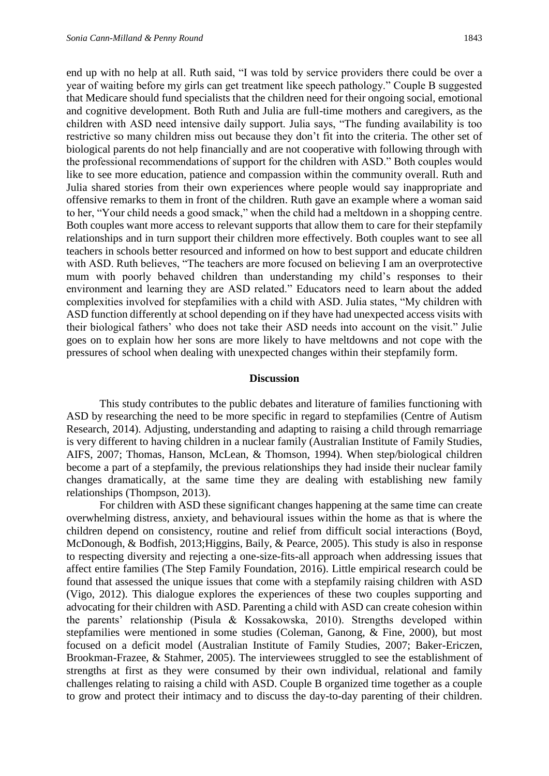end up with no help at all. Ruth said, "I was told by service providers there could be over a year of waiting before my girls can get treatment like speech pathology." Couple B suggested that Medicare should fund specialists that the children need for their ongoing social, emotional and cognitive development. Both Ruth and Julia are full-time mothers and caregivers, as the children with ASD need intensive daily support. Julia says, "The funding availability is too restrictive so many children miss out because they don't fit into the criteria. The other set of biological parents do not help financially and are not cooperative with following through with the professional recommendations of support for the children with ASD." Both couples would like to see more education, patience and compassion within the community overall. Ruth and Julia shared stories from their own experiences where people would say inappropriate and offensive remarks to them in front of the children. Ruth gave an example where a woman said to her, "Your child needs a good smack," when the child had a meltdown in a shopping centre. Both couples want more access to relevant supports that allow them to care for their stepfamily relationships and in turn support their children more effectively. Both couples want to see all teachers in schools better resourced and informed on how to best support and educate children with ASD. Ruth believes, "The teachers are more focused on believing I am an overprotective mum with poorly behaved children than understanding my child's responses to their environment and learning they are ASD related." Educators need to learn about the added complexities involved for stepfamilies with a child with ASD. Julia states, "My children with ASD function differently at school depending on if they have had unexpected access visits with their biological fathers' who does not take their ASD needs into account on the visit." Julie goes on to explain how her sons are more likely to have meltdowns and not cope with the pressures of school when dealing with unexpected changes within their stepfamily form.

#### **Discussion**

This study contributes to the public debates and literature of families functioning with ASD by researching the need to be more specific in regard to stepfamilies (Centre of Autism Research, 2014). Adjusting, understanding and adapting to raising a child through remarriage is very different to having children in a nuclear family (Australian Institute of Family Studies, AIFS, 2007; Thomas, Hanson, McLean, & Thomson, 1994). When step/biological children become a part of a stepfamily, the previous relationships they had inside their nuclear family changes dramatically, at the same time they are dealing with establishing new family relationships (Thompson, 2013).

For children with ASD these significant changes happening at the same time can create overwhelming distress, anxiety, and behavioural issues within the home as that is where the children depend on consistency, routine and relief from difficult social interactions (Boyd, McDonough, & Bodfish, 2013;Higgins, Baily, & Pearce, 2005). This study is also in response to respecting diversity and rejecting a one-size-fits-all approach when addressing issues that affect entire families (The Step Family Foundation, 2016). Little empirical research could be found that assessed the unique issues that come with a stepfamily raising children with ASD (Vigo, 2012). This dialogue explores the experiences of these two couples supporting and advocating for their children with ASD. Parenting a child with ASD can create cohesion within the parents' relationship (Pisula & Kossakowska, 2010). Strengths developed within stepfamilies were mentioned in some studies (Coleman, Ganong, & Fine, 2000), but most focused on a deficit model (Australian Institute of Family Studies, 2007; Baker-Ericzen, Brookman-Frazee, & Stahmer, 2005). The interviewees struggled to see the establishment of strengths at first as they were consumed by their own individual, relational and family challenges relating to raising a child with ASD. Couple B organized time together as a couple to grow and protect their intimacy and to discuss the day-to-day parenting of their children.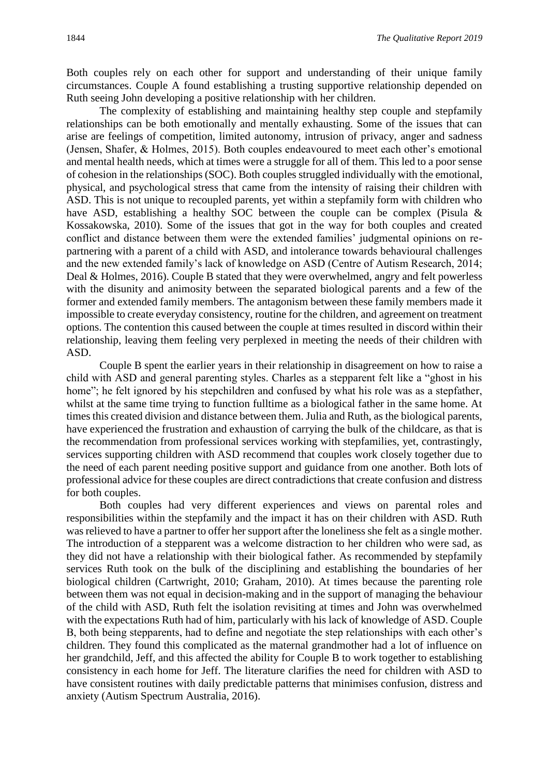Both couples rely on each other for support and understanding of their unique family circumstances. Couple A found establishing a trusting supportive relationship depended on Ruth seeing John developing a positive relationship with her children.

The complexity of establishing and maintaining healthy step couple and stepfamily relationships can be both emotionally and mentally exhausting. Some of the issues that can arise are feelings of competition, limited autonomy, intrusion of privacy, anger and sadness (Jensen, Shafer, & Holmes, 2015). Both couples endeavoured to meet each other's emotional and mental health needs, which at times were a struggle for all of them. This led to a poor sense of cohesion in the relationships (SOC). Both couples struggled individually with the emotional, physical, and psychological stress that came from the intensity of raising their children with ASD. This is not unique to recoupled parents, yet within a stepfamily form with children who have ASD, establishing a healthy SOC between the couple can be complex (Pisula & Kossakowska, 2010). Some of the issues that got in the way for both couples and created conflict and distance between them were the extended families' judgmental opinions on repartnering with a parent of a child with ASD, and intolerance towards behavioural challenges and the new extended family's lack of knowledge on ASD (Centre of Autism Research, 2014; Deal & Holmes, 2016). Couple B stated that they were overwhelmed, angry and felt powerless with the disunity and animosity between the separated biological parents and a few of the former and extended family members. The antagonism between these family members made it impossible to create everyday consistency, routine for the children, and agreement on treatment options. The contention this caused between the couple at times resulted in discord within their relationship, leaving them feeling very perplexed in meeting the needs of their children with ASD.

Couple B spent the earlier years in their relationship in disagreement on how to raise a child with ASD and general parenting styles. Charles as a stepparent felt like a "ghost in his home"; he felt ignored by his stepchildren and confused by what his role was as a stepfather, whilst at the same time trying to function fulltime as a biological father in the same home. At times this created division and distance between them. Julia and Ruth, as the biological parents, have experienced the frustration and exhaustion of carrying the bulk of the childcare, as that is the recommendation from professional services working with stepfamilies, yet, contrastingly, services supporting children with ASD recommend that couples work closely together due to the need of each parent needing positive support and guidance from one another. Both lots of professional advice for these couples are direct contradictions that create confusion and distress for both couples.

Both couples had very different experiences and views on parental roles and responsibilities within the stepfamily and the impact it has on their children with ASD. Ruth was relieved to have a partner to offer her support after the loneliness she felt as a single mother. The introduction of a stepparent was a welcome distraction to her children who were sad, as they did not have a relationship with their biological father. As recommended by stepfamily services Ruth took on the bulk of the disciplining and establishing the boundaries of her biological children (Cartwright, 2010; Graham, 2010). At times because the parenting role between them was not equal in decision-making and in the support of managing the behaviour of the child with ASD, Ruth felt the isolation revisiting at times and John was overwhelmed with the expectations Ruth had of him, particularly with his lack of knowledge of ASD. Couple B, both being stepparents, had to define and negotiate the step relationships with each other's children. They found this complicated as the maternal grandmother had a lot of influence on her grandchild, Jeff, and this affected the ability for Couple B to work together to establishing consistency in each home for Jeff. The literature clarifies the need for children with ASD to have consistent routines with daily predictable patterns that minimises confusion, distress and anxiety (Autism Spectrum Australia, 2016).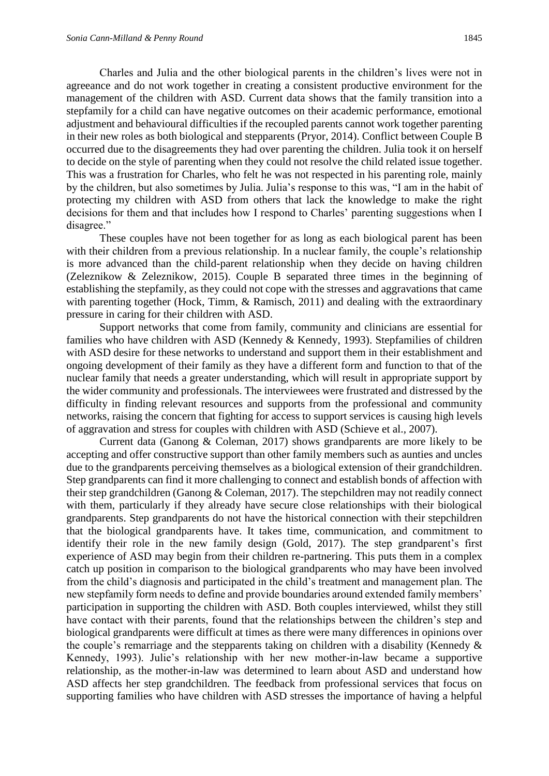Charles and Julia and the other biological parents in the children's lives were not in agreeance and do not work together in creating a consistent productive environment for the management of the children with ASD. Current data shows that the family transition into a stepfamily for a child can have negative outcomes on their academic performance, emotional adjustment and behavioural difficulties if the recoupled parents cannot work together parenting in their new roles as both biological and stepparents (Pryor, 2014). Conflict between Couple B occurred due to the disagreements they had over parenting the children. Julia took it on herself to decide on the style of parenting when they could not resolve the child related issue together. This was a frustration for Charles, who felt he was not respected in his parenting role, mainly by the children, but also sometimes by Julia. Julia's response to this was, "I am in the habit of protecting my children with ASD from others that lack the knowledge to make the right decisions for them and that includes how I respond to Charles' parenting suggestions when I disagree."

These couples have not been together for as long as each biological parent has been with their children from a previous relationship. In a nuclear family, the couple's relationship is more advanced than the child-parent relationship when they decide on having children (Zeleznikow & Zeleznikow, 2015). Couple B separated three times in the beginning of establishing the stepfamily, as they could not cope with the stresses and aggravations that came with parenting together (Hock, Timm, & Ramisch, 2011) and dealing with the extraordinary pressure in caring for their children with ASD.

Support networks that come from family, community and clinicians are essential for families who have children with ASD (Kennedy & Kennedy, 1993). Stepfamilies of children with ASD desire for these networks to understand and support them in their establishment and ongoing development of their family as they have a different form and function to that of the nuclear family that needs a greater understanding, which will result in appropriate support by the wider community and professionals. The interviewees were frustrated and distressed by the difficulty in finding relevant resources and supports from the professional and community networks, raising the concern that fighting for access to support services is causing high levels of aggravation and stress for couples with children with ASD (Schieve et al., 2007).

Current data (Ganong & Coleman, 2017) shows grandparents are more likely to be accepting and offer constructive support than other family members such as aunties and uncles due to the grandparents perceiving themselves as a biological extension of their grandchildren. Step grandparents can find it more challenging to connect and establish bonds of affection with their step grandchildren (Ganong & Coleman, 2017). The stepchildren may not readily connect with them, particularly if they already have secure close relationships with their biological grandparents. Step grandparents do not have the historical connection with their stepchildren that the biological grandparents have. It takes time, communication, and commitment to identify their role in the new family design (Gold, 2017). The step grandparent's first experience of ASD may begin from their children re-partnering. This puts them in a complex catch up position in comparison to the biological grandparents who may have been involved from the child's diagnosis and participated in the child's treatment and management plan. The new stepfamily form needs to define and provide boundaries around extended family members' participation in supporting the children with ASD. Both couples interviewed, whilst they still have contact with their parents, found that the relationships between the children's step and biological grandparents were difficult at times as there were many differences in opinions over the couple's remarriage and the stepparents taking on children with a disability (Kennedy & Kennedy, 1993). Julie's relationship with her new mother-in-law became a supportive relationship, as the mother-in-law was determined to learn about ASD and understand how ASD affects her step grandchildren. The feedback from professional services that focus on supporting families who have children with ASD stresses the importance of having a helpful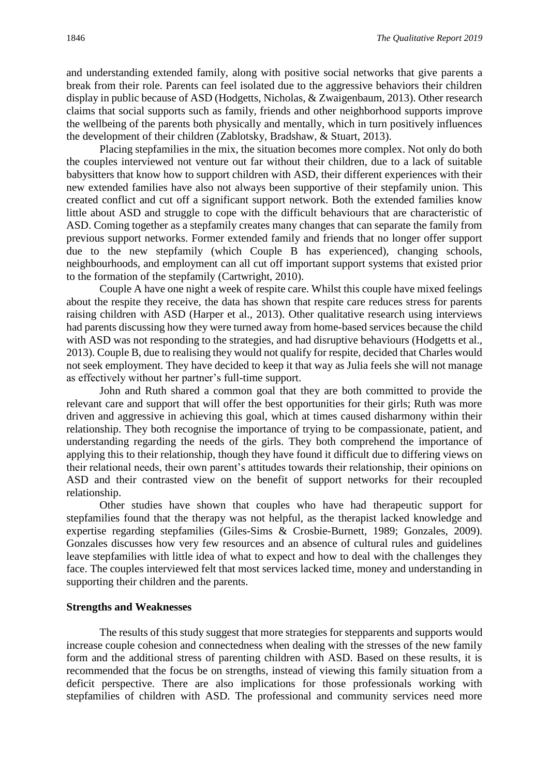and understanding extended family, along with positive social networks that give parents a break from their role. Parents can feel isolated due to the aggressive behaviors their children display in public because of ASD (Hodgetts, Nicholas, & Zwaigenbaum, 2013). Other research claims that social supports such as family, friends and other neighborhood supports improve the wellbeing of the parents both physically and mentally, which in turn positively influences the development of their children (Zablotsky, Bradshaw, & Stuart, 2013).

Placing stepfamilies in the mix, the situation becomes more complex. Not only do both the couples interviewed not venture out far without their children, due to a lack of suitable babysitters that know how to support children with ASD, their different experiences with their new extended families have also not always been supportive of their stepfamily union. This created conflict and cut off a significant support network. Both the extended families know little about ASD and struggle to cope with the difficult behaviours that are characteristic of ASD. Coming together as a stepfamily creates many changes that can separate the family from previous support networks. Former extended family and friends that no longer offer support due to the new stepfamily (which Couple B has experienced), changing schools, neighbourhoods, and employment can all cut off important support systems that existed prior to the formation of the stepfamily (Cartwright, 2010).

Couple A have one night a week of respite care. Whilst this couple have mixed feelings about the respite they receive, the data has shown that respite care reduces stress for parents raising children with ASD (Harper et al., 2013). Other qualitative research using interviews had parents discussing how they were turned away from home-based services because the child with ASD was not responding to the strategies, and had disruptive behaviours (Hodgetts et al., 2013). Couple B, due to realising they would not qualify for respite, decided that Charles would not seek employment. They have decided to keep it that way as Julia feels she will not manage as effectively without her partner's full-time support.

John and Ruth shared a common goal that they are both committed to provide the relevant care and support that will offer the best opportunities for their girls; Ruth was more driven and aggressive in achieving this goal, which at times caused disharmony within their relationship. They both recognise the importance of trying to be compassionate, patient, and understanding regarding the needs of the girls. They both comprehend the importance of applying this to their relationship, though they have found it difficult due to differing views on their relational needs, their own parent's attitudes towards their relationship, their opinions on ASD and their contrasted view on the benefit of support networks for their recoupled relationship.

Other studies have shown that couples who have had therapeutic support for stepfamilies found that the therapy was not helpful, as the therapist lacked knowledge and expertise regarding stepfamilies (Giles-Sims & Crosbie-Burnett, 1989; Gonzales, 2009). Gonzales discusses how very few resources and an absence of cultural rules and guidelines leave stepfamilies with little idea of what to expect and how to deal with the challenges they face. The couples interviewed felt that most services lacked time, money and understanding in supporting their children and the parents.

#### **Strengths and Weaknesses**

The results of this study suggest that more strategies for stepparents and supports would increase couple cohesion and connectedness when dealing with the stresses of the new family form and the additional stress of parenting children with ASD. Based on these results, it is recommended that the focus be on strengths, instead of viewing this family situation from a deficit perspective. There are also implications for those professionals working with stepfamilies of children with ASD. The professional and community services need more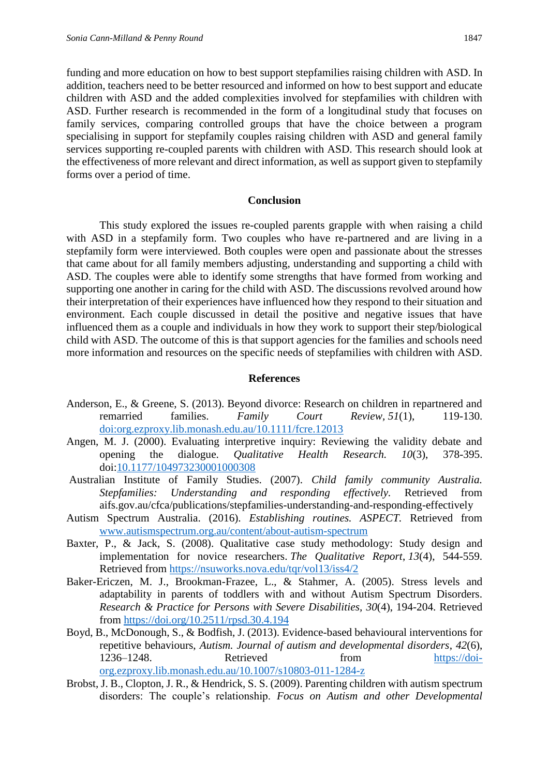funding and more education on how to best support stepfamilies raising children with ASD. In addition, teachers need to be better resourced and informed on how to best support and educate children with ASD and the added complexities involved for stepfamilies with children with ASD. Further research is recommended in the form of a longitudinal study that focuses on family services, comparing controlled groups that have the choice between a program specialising in support for stepfamily couples raising children with ASD and general family services supporting re-coupled parents with children with ASD. This research should look at the effectiveness of more relevant and direct information, as well as support given to stepfamily forms over a period of time.

#### **Conclusion**

This study explored the issues re-coupled parents grapple with when raising a child with ASD in a stepfamily form. Two couples who have re-partnered and are living in a stepfamily form were interviewed. Both couples were open and passionate about the stresses that came about for all family members adjusting, understanding and supporting a child with ASD. The couples were able to identify some strengths that have formed from working and supporting one another in caring for the child with ASD. The discussions revolved around how their interpretation of their experiences have influenced how they respond to their situation and environment. Each couple discussed in detail the positive and negative issues that have influenced them as a couple and individuals in how they work to support their step/biological child with ASD. The outcome of this is that support agencies for the families and schools need more information and resources on the specific needs of stepfamilies with children with ASD.

#### **References**

- Anderson, E., & Greene, S. (2013). Beyond divorce: Research on children in repartnered and remarried families. *Family Court Review, 51*(1), 119-130. [doi:org.ezproxy.lib.monash.edu.au/10.1111/fcre.12013](https://doi-org.ezproxy.lib.monash.edu.au/10.1111/fcre.12013)
- Angen, M. J. (2000). Evaluating interpretive inquiry: Reviewing the validity debate and opening the dialogue. *Qualitative Health Research. 10*(3), 378-395. doi[:10.1177/104973230001000308](https://doi.org/10.1177/104973230001000308)
- Australian Institute of Family Studies. (2007). *Child family community Australia. Stepfamilies: Understanding and responding effectively.* Retrieved from aifs.gov.au/cfca/publications/stepfamilies-understanding-and-responding-effectively
- Autism Spectrum Australia. (2016). *Establishing routines. ASPECT.* Retrieved from [www.autismspectrum.org.au/content/about-autism-spectrum](http://www.autismspectrum.org.au/content/about-autism-spectrum)
- Baxter, P., & Jack, S. (2008). Qualitative case study methodology: Study design and implementation for novice researchers. *The Qualitative Report*, *13*(4), 544-559. Retrieved from<https://nsuworks.nova.edu/tqr/vol13/iss4/2>
- Baker-Ericzen, M. J., Brookman-Frazee, L., & Stahmer, A. (2005). Stress levels and adaptability in parents of toddlers with and without Autism Spectrum Disorders. *Research & Practice for Persons with Severe Disabilities, 30*(4), 194-204. Retrieved from<https://doi.org/10.2511/rpsd.30.4.194>
- Boyd, B., McDonough, S., & Bodfish, J. (2013). Evidence-based behavioural interventions for repetitive behaviours, *Autism. Journal of autism and developmental disorders*, *42*(6), 1236–1248. Retrieved from [https://doi](https://doi-org.ezproxy.lib.monash.edu.au/10.1007/s10803-011-1284-z)[org.ezproxy.lib.monash.edu.au/10.1007/s10803-011-1284-z](https://doi-org.ezproxy.lib.monash.edu.au/10.1007/s10803-011-1284-z)
- Brobst, J. B., Clopton, J. R., & Hendrick, S. S. (2009). Parenting children with autism spectrum disorders: The couple's relationship. *Focus on Autism and other Developmental*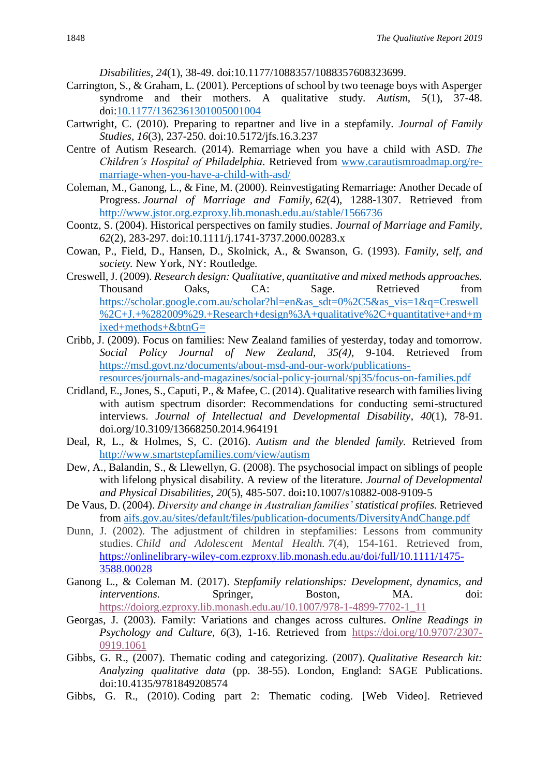*Disabilities, 24*(1), 38-49. doi:10.1177/1088357/1088357608323699.

- Carrington, S., & Graham, L. (2001). Perceptions of school by two teenage boys with Asperger syndrome and their mothers. A qualitative study*. Autism*, *5*(1), 37-48. doi[:10.1177/1362361301005001004](https://doi.org/10.1177/1362361301005001004)
- Cartwright, C. (2010). Preparing to repartner and live in a stepfamily. *Journal of Family Studies, 16*(3), 237-250. doi:10.5172/jfs.16.3.237
- Centre of Autism Research. (2014). Remarriage when you have a child with ASD. *The Children's Hospital of Philadelphia*. Retrieved from [www.carautismroadmap.org/re](http://www.carautismroadmap.org/re-marriage-when-you-have-a-child-with-asd/)[marriage-when-you-have-a-child-with-asd/](http://www.carautismroadmap.org/re-marriage-when-you-have-a-child-with-asd/)
- Coleman, M., Ganong, L., & Fine, M. (2000). Reinvestigating Remarriage: Another Decade of Progress. *Journal of Marriage and Family*, *62*(4), 1288-1307. Retrieved from <http://www.jstor.org.ezproxy.lib.monash.edu.au/stable/1566736>
- Coontz, S. (2004). Historical perspectives on family studies. *Journal of Marriage and Family, 62*(2), 283-297. doi:10.1111/j.1741-3737.2000.00283.x
- Cowan, P., Field, D., Hansen, D., Skolnick, A., & Swanson, G. (1993). *Family, self, and society.* New York, NY: Routledge*.*
- Creswell, J. (2009). *Research design: Qualitative, quantitative and mixed methods approaches.*  Thousand Oaks, CA: Sage. Retrieved from [https://scholar.google.com.au/scholar?hl=en&as\\_sdt=0%2C5&as\\_vis=1&q=Creswell](https://scholar.google.com.au/scholar?hl=en&as_sdt=0%2C5&as_vis=1&q=Creswell%2C+J.+%282009%29.+Research+design%3A+qualitative%2C+quantitative+and+mixed+methods+&btnG=) [%2C+J.+%282009%29.+Research+design%3A+qualitative%2C+quantitative+and+m](https://scholar.google.com.au/scholar?hl=en&as_sdt=0%2C5&as_vis=1&q=Creswell%2C+J.+%282009%29.+Research+design%3A+qualitative%2C+quantitative+and+mixed+methods+&btnG=) [ixed+methods+&btnG=](https://scholar.google.com.au/scholar?hl=en&as_sdt=0%2C5&as_vis=1&q=Creswell%2C+J.+%282009%29.+Research+design%3A+qualitative%2C+quantitative+and+mixed+methods+&btnG=)
- Cribb, J. (2009). Focus on families: New Zealand families of yesterday, today and tomorrow. *Social Policy Journal of New Zealand, 35(4),* 9-104. Retrieved from [https://msd.govt.nz/documents/about-msd-and-our-work/publications](https://msd.govt.nz/documents/about-msd-and-our-work/publications-resources/journals-and-magazines/social-policy-journal/spj35/focus-on-families.pdf)[resources/journals-and-magazines/social-policy-journal/spj35/focus-on-families.pdf](https://msd.govt.nz/documents/about-msd-and-our-work/publications-resources/journals-and-magazines/social-policy-journal/spj35/focus-on-families.pdf)
- Cridland, E., Jones, S., Caputi, P., & Mafee, C. (2014). Qualitative research with families living with autism spectrum disorder: Recommendations for conducting semi-structured interviews. *Journal of Intellectual and Developmental Disability*, *40*(1), 78-91. doi.org/10.3109/13668250.2014.964191
- Deal, R, L., & Holmes, S, C. (2016). *Autism and the blended family.* Retrieved from <http://www.smartstepfamilies.com/view/autism>
- Dew, A., Balandin, S., & Llewellyn, G. (2008). The psychosocial impact on siblings of people with lifelong physical disability. A review of the literature*. Journal of Developmental and Physical Disabilities, 20*(5), 485-507. doi**:**10.1007/s10882-008-9109-5
- De Vaus, D. (2004). *Diversity and change in Australian families' statistical profiles.* Retrieved from [aifs.gov.au/sites/default/files/publication-documents/DiversityAndChange.pdf](https://aifs.gov.au/sites/default/files/publication-documents/DiversityAndChange.pdf)
- Dunn, J. (2002). The adjustment of children in stepfamilies: Lessons from community studies. *Child and Adolescent Mental Health. 7*(4), 154-161. Retrieved from, [https://onlinelibrary-wiley-com.ezproxy.lib.monash.edu.au/doi/full/10.1111/1475-](https://onlinelibrary-wiley-com.ezproxy.lib.monash.edu.au/doi/full/10.1111/1475-3588.00028) [3588.00028](https://onlinelibrary-wiley-com.ezproxy.lib.monash.edu.au/doi/full/10.1111/1475-3588.00028)
- Ganong L., & Coleman M. (2017). *Stepfamily relationships: Development, dynamics, and interventions.* Springer, Boston, MA. doi: [https://doiorg.ezproxy.lib.monash.edu.au/10.1007/978-1-4899-7702-1\\_11](https://doiorg.ezproxy.lib.monash.edu.au/10.1007/978-1-4899-7702-1_11)
- Georgas, J. (2003). Family: Variations and changes across cultures. *Online Readings in Psychology and Culture, 6*(3), 1-16. Retrieved from [https://doi.org/10.9707/2307-](https://doi.org/10.9707/2307-0919.1061) [0919.1061](https://doi.org/10.9707/2307-0919.1061)
- Gibbs, G. R., (2007). Thematic coding and categorizing. (2007). *Qualitative Research kit: Analyzing qualitative data* (pp. 38-55). London, England: SAGE Publications. doi:10.4135/9781849208574
- Gibbs, G. R., (2010). Coding part 2: Thematic coding. [Web Video]. Retrieved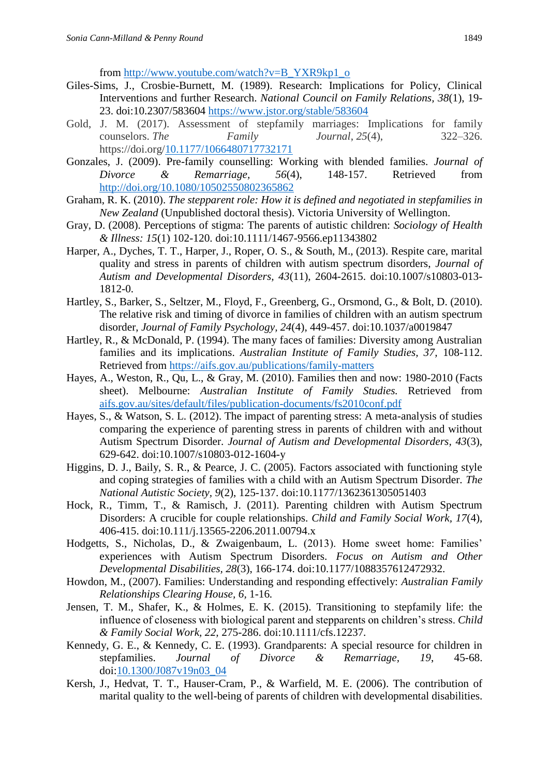from [http://www.youtube.com/watch?v=B\\_YXR9kp1\\_o](http://www.youtube.com/watch?v=B_YXR9kp1_o)

- Giles-Sims, J., Crosbie-Burnett, M. (1989). Research: Implications for Policy, Clinical Interventions and further Research. *National Council on Family Relations, 38*(1), 19- 23. doi:10.2307/583604 <https://www.jstor.org/stable/583604>
- Gold, J. M. (2017). Assessment of stepfamily marriages: Implications for family counselors. *The Family Journal*, *25*(4), 322–326. https://doi.org[/10.1177/1066480717732171](https://doi-org.ezproxy.lib.monash.edu.au/10.1177/1066480717732171)
- Gonzales, J. (2009). Pre-family counselling: Working with blended families. *Journal of Divorce & Remarriage, 56*(4), 148-157. Retrieved from <http://doi.org/10.1080/10502550802365862>
- Graham, R. K. (2010). *The stepparent role: How it is defined and negotiated in stepfamilies in New Zealand* (Unpublished doctoral thesis). Victoria University of Wellington.
- Gray, D. (2008). Perceptions of stigma: The parents of autistic children: *Sociology of Health & Illness: 15*(1) 102-120. doi:10.1111/1467-9566.ep11343802
- Harper, A., Dyches, T. T., Harper, J., Roper, O. S., & South, M., (2013). Respite care, marital quality and stress in parents of children with autism spectrum disorders, *Journal of Autism and Developmental Disorders, 43*(11), 2604-2615. doi:10.1007/s10803-013- 1812-0.
- Hartley, S., Barker, S., Seltzer, M., Floyd, F., Greenberg, G., Orsmond, G., & Bolt, D. (2010). The relative risk and timing of divorce in families of children with an autism spectrum disorder, *Journal of Family Psychology, 24*(4), 449-457. doi:10.1037/a0019847
- Hartley, R., & McDonald, P. (1994). The many faces of families: Diversity among Australian families and its implications. *Australian Institute of Family Studies, 37,* 108-112. Retrieved from<https://aifs.gov.au/publications/family-matters>
- Hayes, A., Weston, R., Qu, L., & Gray, M. (2010). Families then and now: 1980-2010 (Facts sheet). Melbourne: *Australian Institute of Family Studies.* Retrieved from [aifs.gov.au/sites/default/files/publication-documents/fs2010conf.pdf](https://aifs.gov.au/sites/default/files/publication-documents/fs2010conf.pdf)
- Hayes, S., & Watson, S. L. (2012). The impact of parenting stress: A meta-analysis of studies comparing the experience of parenting stress in parents of children with and without Autism Spectrum Disorder. *Journal of Autism and Developmental Disorders, 43*(3), 629-642. doi:10.1007/s10803-012-1604-y
- Higgins, D. J., Baily, S. R., & Pearce, J. C. (2005). Factors associated with functioning style and coping strategies of families with a child with an Autism Spectrum Disorder. *The National Autistic Society, 9*(2), 125-137. doi:10.1177/1362361305051403
- Hock, R., Timm, T., & Ramisch, J. (2011). Parenting children with Autism Spectrum Disorders: A crucible for couple relationships. *Child and Family Social Work, 17*(4), 406-415. doi:10.111/j.13565-2206.2011.00794.x
- Hodgetts, S., Nicholas, D., & Zwaigenbaum, L. (2013). Home sweet home: Families' experiences with Autism Spectrum Disorders. *Focus on Autism and Other Developmental Disabilities, 28*(3), 166-174. doi:10.1177/1088357612472932.
- Howdon, M., (2007). Families: Understanding and responding effectively: *Australian Family Relationships Clearing House, 6,* 1-16*.*
- Jensen, T. M., Shafer, K., & Holmes, E. K. (2015). Transitioning to stepfamily life: the influence of closeness with biological parent and stepparents on children's stress. *Child & Family Social Work, 22,* 275-286. doi:10.1111/cfs.12237*.*
- Kennedy, G. E., & Kennedy, C. E. (1993). Grandparents: A special resource for children in stepfamilies. *Journal of Divorce & Remarriage, 19*, 45-68. doi[:10.1300/J087v19n03\\_04](https://doi-org.ezproxy.lib.monash.edu.au/10.1300/J087v19n03_04)
- Kersh, J., Hedvat, T. T., Hauser-Cram, P., & Warfield, M. E. (2006). The contribution of marital quality to the well-being of parents of children with developmental disabilities.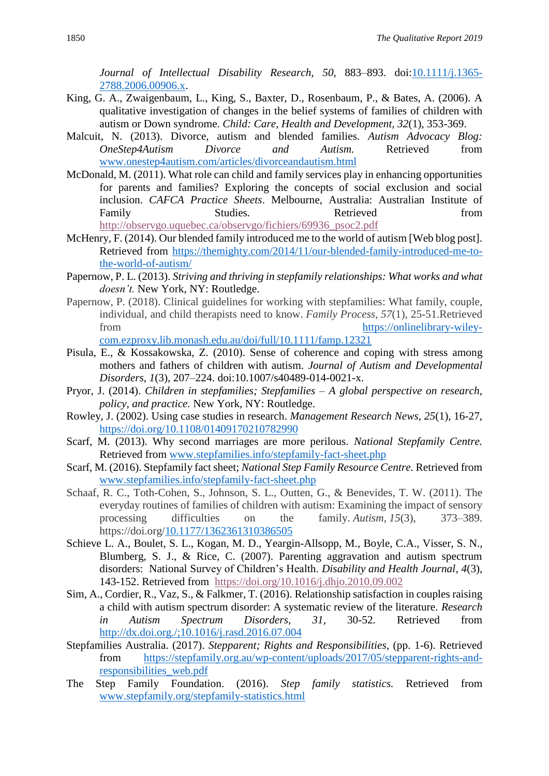*Journal of Intellectual Disability Research, 50*, 883–893. doi[:10.1111/j.1365-](https://doi-org.ezproxy.lib.monash.edu.au/10.1111/j.1365-2788.2006.00906.x) [2788.2006.00906.x.](https://doi-org.ezproxy.lib.monash.edu.au/10.1111/j.1365-2788.2006.00906.x)

- King, G. A., Zwaigenbaum, L., King, S., Baxter, D., Rosenbaum, P., & Bates, A. (2006). A qualitative investigation of changes in the belief systems of families of children with autism or Down syndrome. *Child: Care, Health and Development, 32*(1), 353-369.
- Malcuit, N. (2013). Divorce, autism and blended families. *Autism Advocacy Blog: OneStep4Autism Divorce and Autism.* Retrieved from [www.onestep4autism.com/articles/divorceandautism.html](http://www.onestep4autism.com/articles/divorceandautism.html)
- McDonald, M. (2011). What role can child and family services play in enhancing opportunities for parents and families? Exploring the concepts of social exclusion and social inclusion. *CAFCA Practice Sheets*. Melbourne, Australia: Australian Institute of Family Studies. Studies Retrieved from [http://observgo.uquebec.ca/observgo/fichiers/69936\\_psoc2.pdf](http://observgo.uquebec.ca/observgo/fichiers/69936_psoc2.pdf)
- McHenry, F. (2014). Our blended family introduced me to the world of autism [Web blog post]. Retrieved from [https://themighty.com/2014/11/our-blended-family-introduced-me-to](https://themighty.com/2014/11/our-blended-family-introduced-me-to-the-world-of-autism/)[the-world-of-autism/](https://themighty.com/2014/11/our-blended-family-introduced-me-to-the-world-of-autism/)
- Papernow, P. L. (2013). *Striving and thriving in stepfamily relationships: What works and what doesn't.* New York, NY: Routledge.
- Papernow, P. (2018). Clinical guidelines for working with stepfamilies: What family, couple, individual, and child therapists need to know. *Family Process, 57*(1), 25-51.Retrieved from [https://onlinelibrary-wiley](https://onlinelibrary-wiley-com.ezproxy.lib.monash.edu.au/doi/full/10.1111/famp.12321)[com.ezproxy.lib.monash.edu.au/doi/full/10.1111/famp.12321](https://onlinelibrary-wiley-com.ezproxy.lib.monash.edu.au/doi/full/10.1111/famp.12321)
- Pisula, E., & Kossakowska, Z. (2010). Sense of coherence and coping with stress among mothers and fathers of children with autism. *Journal of Autism and Developmental Disorders, 1*(3), 207–224. doi:10.1007/s40489-014-0021-x.
- Pryor, J. (2014). *Children in stepfamilies; Stepfamilies – A global perspective on research, policy, and practice.* New York, NY: Routledge.
- Rowley, J. (2002). Using case studies in research. *Management Research News, 25*(1), 16-27, <https://doi.org/10.1108/01409170210782990>
- Scarf, M. (2013). Why second marriages are more perilous. *National Stepfamily Centre.* Retrieved from [www.stepfamilies.info/stepfamily-fact-sheet.php](http://www.stepfamilies.info/stepfamily-fact-sheet.php)
- Scarf, M. (2016). Stepfamily fact sheet; *National Step Family Resource Centre.* Retrieved from [www.stepfamilies.info/stepfamily-fact-sheet.php](http://www.stepfamilies.info/stepfamily-fact-sheet.php)
- Schaaf, R. C., Toth-Cohen, S., Johnson, S. L., Outten, G., & Benevides, T. W. (2011). The everyday routines of families of children with autism: Examining the impact of sensory processing difficulties on the family. *Autism*, *15*(3), 373–389. https://doi.org[/10.1177/1362361310386505](https://doi-org.ezproxy.lib.monash.edu.au/10.1177/1362361310386505)
- Schieve L. A., Boulet, S. L., Kogan, M. D., Yeargin-Allsopp, M., Boyle, C.A., Visser, S. N., Blumberg, S. J., & Rice, C. (2007). Parenting aggravation and autism spectrum disorders: National Survey of Children's Health. *[Disability and Health Journal,](https://www.sciencedirect.com/science/journal/19366574) 4*(3), 143-152. Retrieved from <https://doi.org/10.1016/j.dhjo.2010.09.002>
- Sim, A., Cordier, R., Vaz, S., & Falkmer, T. (2016). Relationship satisfaction in couples raising a child with autism spectrum disorder: A systematic review of the literature. *Research in Autism Spectrum Disorders*, *31,* 30-52*.* Retrieved from <http://dx.doi.org./;10.1016/j.rasd.2016.07.004>
- Stepfamilies Australia. (2017). *Stepparent; Rights and Responsibilities*, (pp. 1-6). Retrieved from [https://stepfamily.org.au/wp-content/uploads/2017/05/stepparent-rights-and](https://stepfamily.org.au/wp-content/uploads/2017/05/stepparent-rights-and-responsibilities_web.pdf)[responsibilities\\_web.pdf](https://stepfamily.org.au/wp-content/uploads/2017/05/stepparent-rights-and-responsibilities_web.pdf)
- The Step Family Foundation. (2016). *Step family statistics.* Retrieved from [www.stepfamily.org/stepfamily-statistics.html](http://www.stepfamily.org/stepfamily-statistics.html)